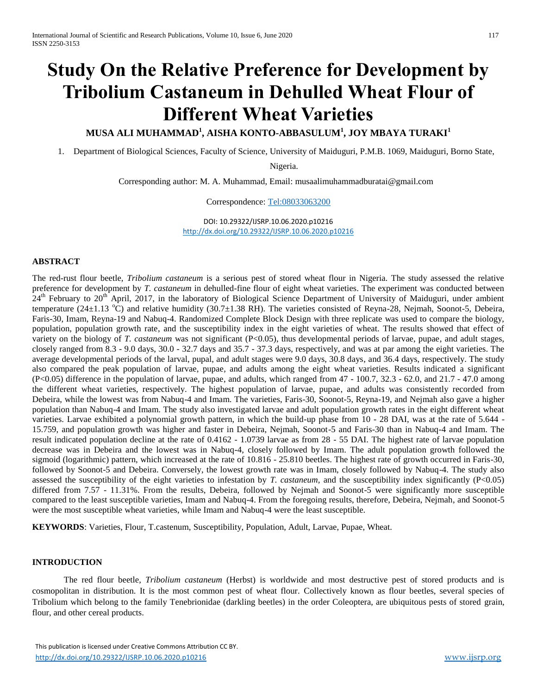# **Study On the Relative Preference for Development by Tribolium Castaneum in Dehulled Wheat Flour of Different Wheat Varieties**

# **MUSA ALI MUHAMMAD<sup>1</sup> , AISHA KONTO-ABBASULUM<sup>1</sup> , JOY MBAYA TURAKI<sup>1</sup>**

1. Department of Biological Sciences, Faculty of Science, University of Maiduguri, P.M.B. 1069, Maiduguri, Borno State,

Nigeria.

Corresponding author: M. A. Muhammad, Email: musaalimuhammadburatai@gmail.com

Correspondence: [Tel:08033063200](tel:08033063200)

DOI: 10.29322/IJSRP.10.06.2020.p10216 <http://dx.doi.org/10.29322/IJSRP.10.06.2020.p10216>

## **ABSTRACT**

The red-rust flour beetle, *Tribolium castaneum* is a serious pest of stored wheat flour in Nigeria. The study assessed the relative preference for development by *T. castaneum* in dehulled-fine flour of eight wheat varieties. The experiment was conducted between  $24<sup>th</sup>$  February to  $20<sup>th</sup>$  April, 2017, in the laboratory of Biological Science Department of University of Maiduguri, under ambient temperature (24 $\pm$ 1.13 °C) and relative humidity (30.7 $\pm$ 1.38 RH). The varieties consisted of Reyna-28, Nejmah, Soonot-5, Debeira, Faris-30, Imam, Reyna-19 and Nabuq-4. Randomized Complete Block Design with three replicate was used to compare the biology, population, population growth rate, and the susceptibility index in the eight varieties of wheat. The results showed that effect of variety on the biology of *T. castaneum* was not significant (P<0.05), thus developmental periods of larvae, pupae, and adult stages, closely ranged from 8.3 - 9.0 days, 30.0 - 32.7 days and 35.7 - 37.3 days, respectively, and was at par among the eight varieties. The average developmental periods of the larval, pupal, and adult stages were 9.0 days, 30.8 days, and 36.4 days, respectively. The study also compared the peak population of larvae, pupae, and adults among the eight wheat varieties. Results indicated a significant (P<0.05) difference in the population of larvae, pupae, and adults, which ranged from 47 - 100.7, 32.3 - 62.0, and 21.7 - 47.0 among the different wheat varieties, respectively. The highest population of larvae, pupae, and adults was consistently recorded from Debeira, while the lowest was from Nabuq-4 and Imam. The varieties, Faris-30, Soonot-5, Reyna-19, and Nejmah also gave a higher population than Nabuq-4 and Imam. The study also investigated larvae and adult population growth rates in the eight different wheat varieties. Larvae exhibited a polynomial growth pattern, in which the build-up phase from 10 - 28 DAI, was at the rate of 5.644 - 15.759, and population growth was higher and faster in Debeira, Nejmah, Soonot-5 and Faris-30 than in Nabuq-4 and Imam. The result indicated population decline at the rate of 0.4162 - 1.0739 larvae as from 28 - 55 DAI. The highest rate of larvae population decrease was in Debeira and the lowest was in Nabuq-4, closely followed by Imam. The adult population growth followed the sigmoid (logarithmic) pattern, which increased at the rate of 10.816 - 25.810 beetles. The highest rate of growth occurred in Faris-30, followed by Soonot-5 and Debeira. Conversely, the lowest growth rate was in Imam, closely followed by Nabuq-4. The study also assessed the susceptibility of the eight varieties to infestation by *T. castaneum*, and the susceptibility index significantly  $(P<0.05)$ differed from 7.57 - 11.31%. From the results, Debeira, followed by Nejmah and Soonot-5 were significantly more susceptible compared to the least susceptible varieties, Imam and Nabuq-4. From the foregoing results, therefore, Debeira, Nejmah, and Soonot-5 were the most susceptible wheat varieties, while Imam and Nabuq-4 were the least susceptible.

**KEYWORDS**: Varieties, Flour, T.castenum, Susceptibility, Population, Adult, Larvae, Pupae, Wheat.

#### **INTRODUCTION**

The red flour beetle, *Tribolium castaneum* (Herbst) is worldwide and most destructive pest of stored products and is cosmopolitan in distribution. It is the most common pest of wheat flour. Collectively known as flour beetles, several species of Tribolium which belong to the family Tenebrionidae (darkling beetles) in the order Coleoptera, are ubiquitous pests of stored grain, flour, and other cereal products.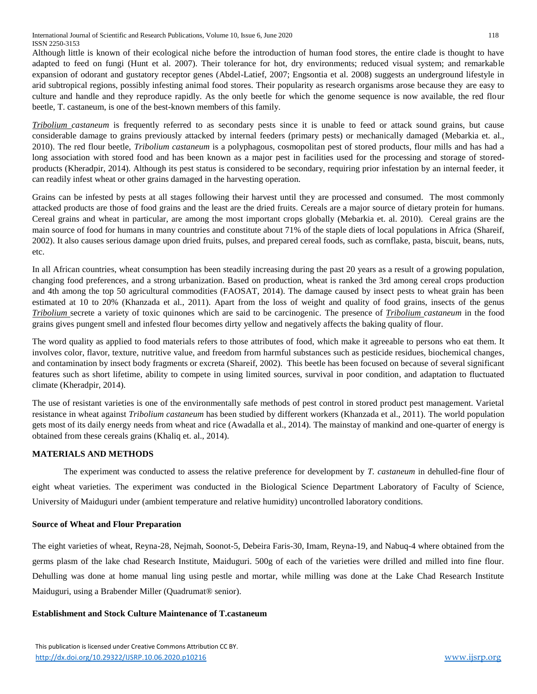Although little is known of their ecological niche before the introduction of human food stores, the entire clade is thought to have adapted to feed on fungi (Hunt et al. 2007). Their tolerance for hot, dry environments; reduced visual system; and remarkable expansion of odorant and gustatory receptor genes (Abdel-Latief, 2007; Engsontia et al. 2008) suggests an underground lifestyle in arid subtropical regions, possibly infesting animal food stores. Their popularity as research organisms arose because they are easy to culture and handle and they reproduce rapidly. As the only beetle for which the genome sequence is now available, the red flour beetle, T. castaneum, is one of the best-known members of this family.

*Tribolium castaneum* is frequently referred to as secondary pests since it is unable to feed or attack sound grains, but cause considerable damage to grains previously attacked by internal feeders (primary pests) or mechanically damaged (Mebarkia et. al., 2010). The red flour beetle, *Tribolium castaneum* is a polyphagous, cosmopolitan pest of stored products, flour mills and has had a long association with stored food and has been known as a major pest in facilities used for the processing and storage of storedproducts (Kheradpir, 2014). Although its pest status is considered to be secondary, requiring prior infestation by an internal feeder, it can readily infest wheat or other grains damaged in the harvesting operation.

Grains can be infested by pests at all stages following their harvest until they are processed and consumed. The most commonly attacked products are those of food grains and the least are the dried fruits. Cereals are a major source of dietary protein for humans. Cereal grains and wheat in particular, are among the most important crops globally (Mebarkia et. al. 2010). Cereal grains are the main source of food for humans in many countries and constitute about 71% of the staple diets of local populations in Africa (Shareif, 2002). It also causes serious damage upon dried fruits, pulses, and prepared cereal foods, such as cornflake, pasta, biscuit, beans, nuts, etc.

In all African countries, wheat consumption has been steadily increasing during the past 20 years as a result of a growing population, changing food preferences, and a strong urbanization. Based on production, wheat is ranked the 3rd among cereal crops production and 4th among the top 50 agricultural commodities (FAOSAT, 2014). The damage caused by insect pests to wheat grain has been estimated at 10 to 20% (Khanzada et al., 2011). Apart from the loss of weight and quality of food grains, insects of the genus *Tribolium* secrete a variety of toxic quinones which are said to be carcinogenic. The presence of *Tribolium castaneum* in the food grains gives pungent smell and infested flour becomes dirty yellow and negatively affects the baking quality of flour.

The word quality as applied to food materials refers to those attributes of food, which make it agreeable to persons who eat them. It involves color, flavor, texture, nutritive value, and freedom from harmful substances such as pesticide residues, biochemical changes, and contamination by insect body fragments or excreta (Shareif, 2002). This beetle has been focused on because of several significant features such as short lifetime, ability to compete in using limited sources, survival in poor condition, and adaptation to fluctuated climate (Kheradpir, 2014).

The use of resistant varieties is one of the environmentally safe methods of pest control in stored product pest management. Varietal resistance in wheat against *Tribolium castaneum* has been studied by different workers (Khanzada et al., 2011). The world population gets most of its daily energy needs from wheat and rice (Awadalla et al., 2014). The mainstay of mankind and one-quarter of energy is obtained from these cereals grains (Khaliq et. al., 2014).

# **MATERIALS AND METHODS**

The experiment was conducted to assess the relative preference for development by *T. castaneum* in dehulled-fine flour of eight wheat varieties. The experiment was conducted in the Biological Science Department Laboratory of Faculty of Science, University of Maiduguri under (ambient temperature and relative humidity) uncontrolled laboratory conditions.

# **Source of Wheat and Flour Preparation**

The eight varieties of wheat, Reyna-28, Nejmah, Soonot-5, Debeira Faris-30, Imam, Reyna-19, and Nabuq-4 where obtained from the germs plasm of the lake chad Research Institute, Maiduguri. 500g of each of the varieties were drilled and milled into fine flour. Dehulling was done at home manual ling using pestle and mortar, while milling was done at the Lake Chad Research Institute Maiduguri, using a Brabender Miller (Quadrumat® senior).

# **Establishment and Stock Culture Maintenance of T.castaneum**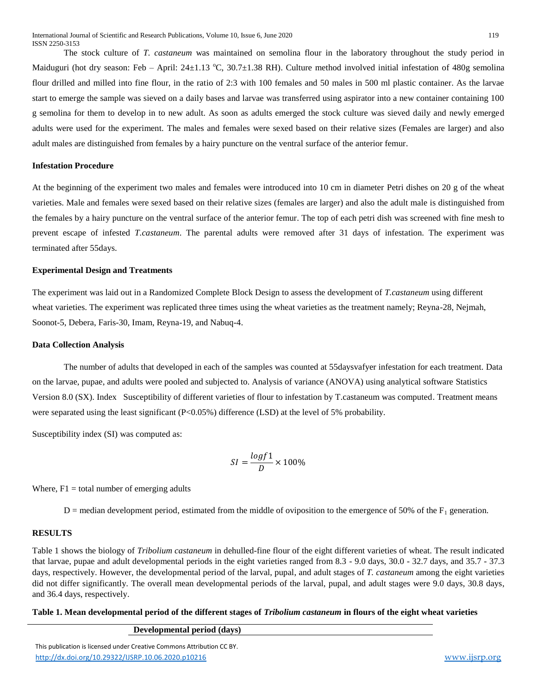The stock culture of *T. castaneum* was maintained on semolina flour in the laboratory throughout the study period in Maiduguri (hot dry season: Feb – April:  $24\pm1.13$  °C,  $30.7\pm1.38$  RH). Culture method involved initial infestation of 480g semolina flour drilled and milled into fine flour, in the ratio of 2:3 with 100 females and 50 males in 500 ml plastic container. As the larvae start to emerge the sample was sieved on a daily bases and larvae was transferred using aspirator into a new container containing 100 g semolina for them to develop in to new adult. As soon as adults emerged the stock culture was sieved daily and newly emerged adults were used for the experiment. The males and females were sexed based on their relative sizes (Females are larger) and also adult males are distinguished from females by a hairy puncture on the ventral surface of the anterior femur.

#### **Infestation Procedure**

At the beginning of the experiment two males and females were introduced into 10 cm in diameter Petri dishes on 20 g of the wheat varieties. Male and females were sexed based on their relative sizes (females are larger) and also the adult male is distinguished from the females by a hairy puncture on the ventral surface of the anterior femur. The top of each petri dish was screened with fine mesh to prevent escape of infested *T.castaneum*. The parental adults were removed after 31 days of infestation. The experiment was terminated after 55days.

#### **Experimental Design and Treatments**

The experiment was laid out in a Randomized Complete Block Design to assess the development of *T.castaneum* using different wheat varieties. The experiment was replicated three times using the wheat varieties as the treatment namely; Reyna-28, Nejmah, Soonot-5, Debera, Faris-30, Imam, Reyna-19, and Nabuq-4.

#### **Data Collection Analysis**

The number of adults that developed in each of the samples was counted at 55daysvafyer infestation for each treatment. Data on the larvae, pupae, and adults were pooled and subjected to. Analysis of variance (ANOVA) using analytical software Statistics Version 8.0 (SX). Index Susceptibility of different varieties of flour to infestation by T.castaneum was computed. Treatment means were separated using the least significant (P<0.05%) difference (LSD) at the level of 5% probability.

Susceptibility index (SI) was computed as:

$$
SI = \frac{logf1}{D} \times 100\%
$$

Where,  $F1 =$  total number of emerging adults

 $D =$  median development period, estimated from the middle of oviposition to the emergence of 50% of the  $F_1$  generation.

#### **RESULTS**

Table 1 shows the biology of *Tribolium castaneum* in dehulled-fine flour of the eight different varieties of wheat. The result indicated that larvae, pupae and adult developmental periods in the eight varieties ranged from 8.3 - 9.0 days, 30.0 - 32.7 days, and 35.7 - 37.3 days, respectively. However, the developmental period of the larval, pupal, and adult stages of *T. castaneum* among the eight varieties did not differ significantly. The overall mean developmental periods of the larval, pupal, and adult stages were 9.0 days, 30.8 days, and 36.4 days, respectively.

#### **Table 1. Mean developmental period of the different stages of** *Tribolium castaneum* **in flours of the eight wheat varieties**

**Developmental period (days)**

 This publication is licensed under Creative Commons Attribution CC BY. <http://dx.doi.org/10.29322/IJSRP.10.06.2020.p10216> [www.ijsrp.org](http://ijsrp.org/)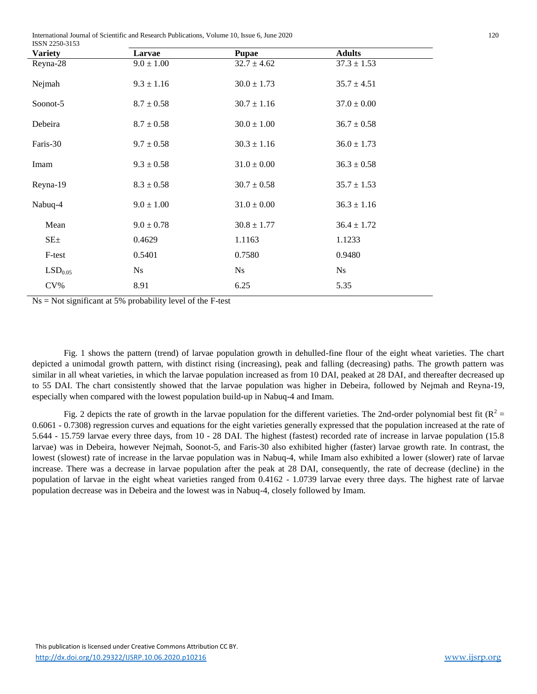International Journal of Scientific and Research Publications, Volume 10, Issue 6, June 2020 120

| ISSN 2250-3153      |                |                 |                 |  |
|---------------------|----------------|-----------------|-----------------|--|
| <b>Variety</b>      | Larvae         | <b>Pupae</b>    | <b>Adults</b>   |  |
| Reyna-28            | $9.0 \pm 1.00$ | $32.7 \pm 4.62$ | $37.3 \pm 1.53$ |  |
| Nejmah              | $9.3 \pm 1.16$ | $30.0 \pm 1.73$ | $35.7 \pm 4.51$ |  |
| Soonot-5            | $8.7 \pm 0.58$ | $30.7 \pm 1.16$ | $37.0 \pm 0.00$ |  |
| Debeira             | $8.7 \pm 0.58$ | $30.0 \pm 1.00$ | $36.7 \pm 0.58$ |  |
| Faris-30            | $9.7 \pm 0.58$ | $30.3 \pm 1.16$ | $36.0 \pm 1.73$ |  |
| Imam                | $9.3 \pm 0.58$ | $31.0 \pm 0.00$ | $36.3 \pm 0.58$ |  |
| Reyna-19            | $8.3 \pm 0.58$ | $30.7 \pm 0.58$ | $35.7 \pm 1.53$ |  |
| Nabuq-4             | $9.0 \pm 1.00$ | $31.0 \pm 0.00$ | $36.3 \pm 1.16$ |  |
| Mean                | $9.0 \pm 0.78$ | $30.8 \pm 1.77$ | $36.4 \pm 1.72$ |  |
| $SE_{\pm}$          | 0.4629         | 1.1163          | 1.1233          |  |
| F-test              | 0.5401         | 0.7580          | 0.9480          |  |
| LSD <sub>0.05</sub> | Ns             | <b>Ns</b>       | N <sub>S</sub>  |  |
| $CV\%$              | 8.91           | 6.25            | 5.35            |  |

 $Ns = Not significant at 5% probability level of the F-test$ 

Fig. 1 shows the pattern (trend) of larvae population growth in dehulled-fine flour of the eight wheat varieties. The chart depicted a unimodal growth pattern, with distinct rising (increasing), peak and falling (decreasing) paths. The growth pattern was similar in all wheat varieties, in which the larvae population increased as from 10 DAI, peaked at 28 DAI, and thereafter decreased up to 55 DAI. The chart consistently showed that the larvae population was higher in Debeira, followed by Nejmah and Reyna-19, especially when compared with the lowest population build-up in Nabuq-4 and Imam.

Fig. 2 depicts the rate of growth in the larvae population for the different varieties. The 2nd-order polynomial best fit ( $R^2 =$ 0.6061 - 0.7308) regression curves and equations for the eight varieties generally expressed that the population increased at the rate of 5.644 - 15.759 larvae every three days, from 10 - 28 DAI. The highest (fastest) recorded rate of increase in larvae population (15.8 larvae) was in Debeira, however Nejmah, Soonot-5, and Faris-30 also exhibited higher (faster) larvae growth rate. In contrast, the lowest (slowest) rate of increase in the larvae population was in Nabuq-4, while Imam also exhibited a lower (slower) rate of larvae increase. There was a decrease in larvae population after the peak at 28 DAI, consequently, the rate of decrease (decline) in the population of larvae in the eight wheat varieties ranged from 0.4162 - 1.0739 larvae every three days. The highest rate of larvae population decrease was in Debeira and the lowest was in Nabuq-4, closely followed by Imam.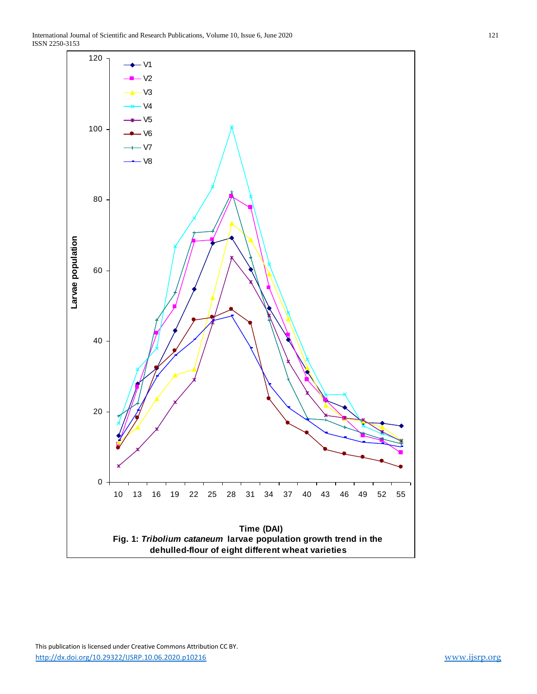

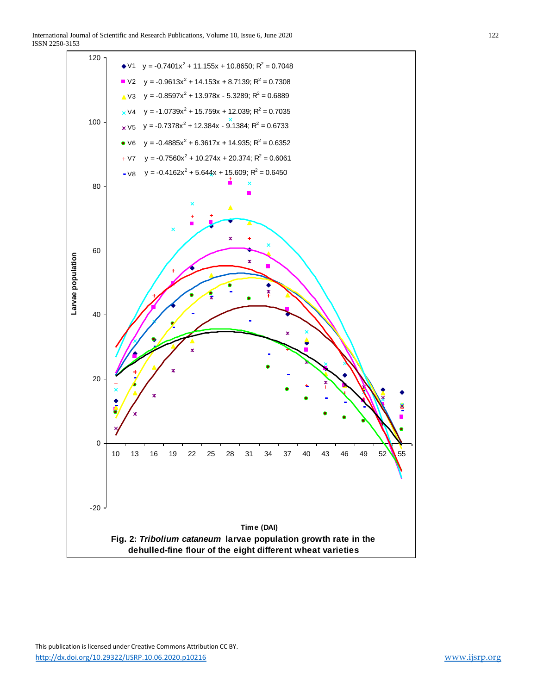

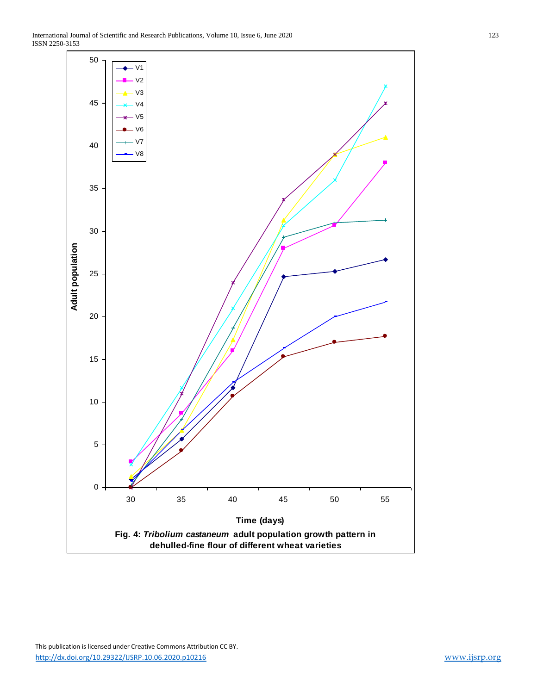ISSN 2250-3153

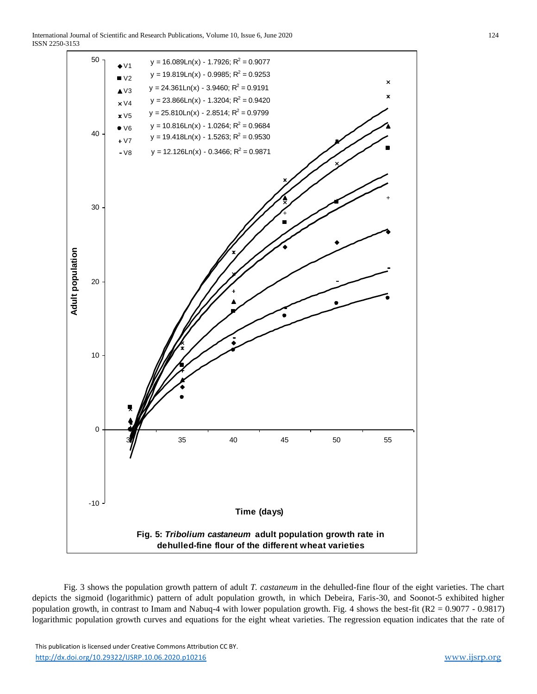International Journal of Scientific and Research Publications, Volume 10, Issue 6, June 2020 124 ISSN 2250-3153



Fig. 3 shows the population growth pattern of adult *T. castaneum* in the dehulled-fine flour of the eight varieties. The chart depicts the sigmoid (logarithmic) pattern of adult population growth, in which Debeira, Faris-30, and Soonot-5 exhibited higher population growth, in contrast to Imam and Nabuq-4 with lower population growth. Fig. 4 shows the best-fit (R2 = 0.9077 - 0.9817) logarithmic population growth curves and equations for the eight wheat varieties. The regression equation indicates that the rate of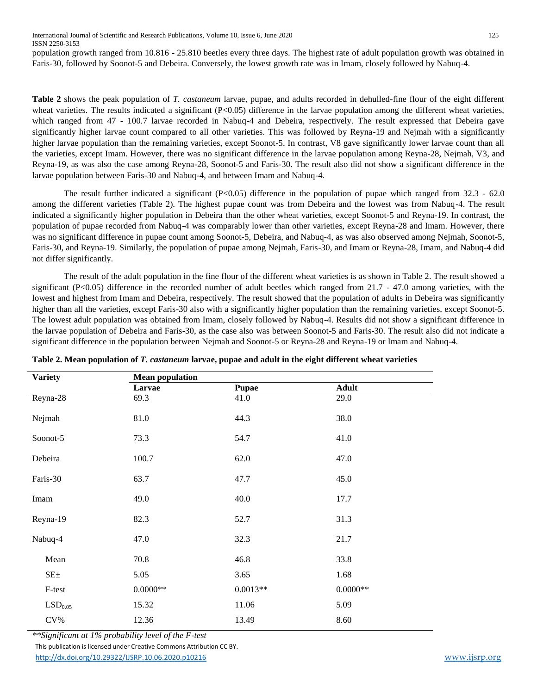population growth ranged from 10.816 - 25.810 beetles every three days. The highest rate of adult population growth was obtained in Faris-30, followed by Soonot-5 and Debeira. Conversely, the lowest growth rate was in Imam, closely followed by Nabuq-4.

**Table 2** shows the peak population of *T. castaneum* larvae, pupae, and adults recorded in dehulled-fine flour of the eight different wheat varieties. The results indicated a significant (P<0.05) difference in the larvae population among the different wheat varieties, which ranged from 47 - 100.7 larvae recorded in Nabuq-4 and Debeira, respectively. The result expressed that Debeira gave significantly higher larvae count compared to all other varieties. This was followed by Reyna-19 and Nejmah with a significantly higher larvae population than the remaining varieties, except Soonot-5. In contrast, V8 gave significantly lower larvae count than all the varieties, except Imam. However, there was no significant difference in the larvae population among Reyna-28, Nejmah, V3, and Reyna-19, as was also the case among Reyna-28, Soonot-5 and Faris-30. The result also did not show a significant difference in the larvae population between Faris-30 and Nabuq-4, and between Imam and Nabuq-4.

The result further indicated a significant (P<0.05) difference in the population of pupae which ranged from 32.3 - 62.0 among the different varieties (Table 2). The highest pupae count was from Debeira and the lowest was from Nabuq-4. The result indicated a significantly higher population in Debeira than the other wheat varieties, except Soonot-5 and Reyna-19. In contrast, the population of pupae recorded from Nabuq-4 was comparably lower than other varieties, except Reyna-28 and Imam. However, there was no significant difference in pupae count among Soonot-5, Debeira, and Nabuq-4, as was also observed among Nejmah, Soonot-5, Faris-30, and Reyna-19. Similarly, the population of pupae among Nejmah, Faris-30, and Imam or Reyna-28, Imam, and Nabuq-4 did not differ significantly.

The result of the adult population in the fine flour of the different wheat varieties is as shown in Table 2. The result showed a significant (P<0.05) difference in the recorded number of adult beetles which ranged from 21.7 - 47.0 among varieties, with the lowest and highest from Imam and Debeira, respectively. The result showed that the population of adults in Debeira was significantly higher than all the varieties, except Faris-30 also with a significantly higher population than the remaining varieties, except Soonot-5. The lowest adult population was obtained from Imam, closely followed by Nabuq-4. Results did not show a significant difference in the larvae population of Debeira and Faris-30, as the case also was between Soonot-5 and Faris-30. The result also did not indicate a significant difference in the population between Nejmah and Soonot-5 or Reyna-28 and Reyna-19 or Imam and Nabuq-4.

| <b>Variety</b>      | <b>Mean population</b> |              |              |
|---------------------|------------------------|--------------|--------------|
|                     | Larvae                 | <b>Pupae</b> | <b>Adult</b> |
| Reyna-28            | 69.3                   | 41.0         | 29.0         |
| Nejmah              | 81.0                   | 44.3         | 38.0         |
| Soonot-5            | 73.3                   | 54.7         | 41.0         |
| Debeira             | 100.7                  | 62.0         | 47.0         |
| Faris-30            | 63.7                   | 47.7         | 45.0         |
| Imam                | 49.0                   | 40.0         | 17.7         |
| Reyna-19            | 82.3                   | 52.7         | 31.3         |
| Nabuq-4             | 47.0                   | 32.3         | 21.7         |
| Mean                | 70.8                   | 46.8         | 33.8         |
| SE <sub>±</sub>     | 5.05                   | 3.65         | 1.68         |
| F-test              | $0.0000**$             | $0.0013**$   | $0.0000**$   |
| LSD <sub>0.05</sub> | 15.32                  | 11.06        | 5.09         |
| $CV\%$              | 12.36                  | 13.49        | 8.60         |

|  | Table 2. Mean population of T. castaneum larvae, pupae and adult in the eight different wheat varieties |  |  |
|--|---------------------------------------------------------------------------------------------------------|--|--|
|  |                                                                                                         |  |  |

 This publication is licensed under Creative Commons Attribution CC BY. <http://dx.doi.org/10.29322/IJSRP.10.06.2020.p10216> [www.ijsrp.org](http://ijsrp.org/) *\*\*Significant at 1% probability level of the F-test*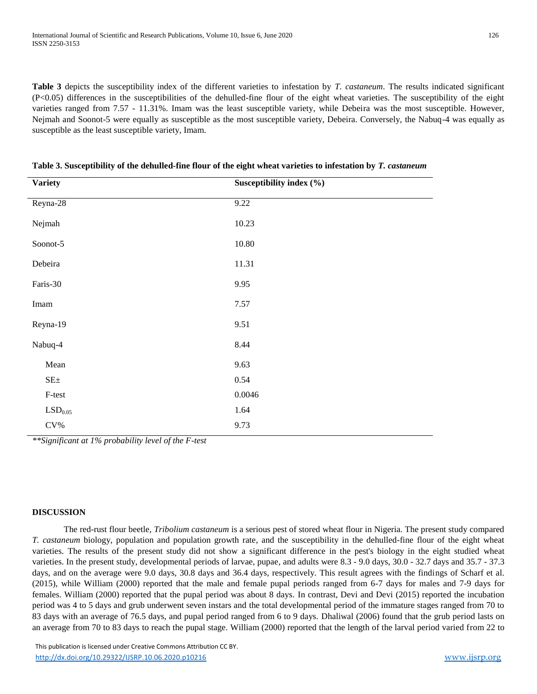**Table 3** depicts the susceptibility index of the different varieties to infestation by *T. castaneum*. The results indicated significant (P<0.05) differences in the susceptibilities of the dehulled-fine flour of the eight wheat varieties. The susceptibility of the eight varieties ranged from 7.57 - 11.31%. Imam was the least susceptible variety, while Debeira was the most susceptible. However, Nejmah and Soonot-5 were equally as susceptible as the most susceptible variety, Debeira. Conversely, the Nabuq-4 was equally as susceptible as the least susceptible variety, Imam.

| <b>Variety</b>        | Susceptibility index (%) |
|-----------------------|--------------------------|
| Reyna- $28$           | 9.22                     |
| Nejmah                | 10.23                    |
| Soonot-5              | $10.80\,$                |
| Debeira               | 11.31                    |
| Faris-30              | 9.95                     |
| Imam                  | 7.57                     |
| Reyna-19              | 9.51                     |
| Nabuq-4               | 8.44                     |
| Mean                  | 9.63                     |
| $SE\pm$               | 0.54                     |
| F-test                | 0.0046                   |
| $\mathrm{LSD}_{0.05}$ | 1.64                     |
| $\rm{CV}\%$           | 9.73                     |
|                       |                          |

**Table 3. Susceptibility of the dehulled-fine flour of the eight wheat varieties to infestation by** *T. castaneum*

*\*\*Significant at 1% probability level of the F-test*

## **DISCUSSION**

The red-rust flour beetle, *Tribolium castaneum* is a serious pest of stored wheat flour in Nigeria. The present study compared *T. castaneum* biology, population and population growth rate, and the susceptibility in the dehulled-fine flour of the eight wheat varieties. The results of the present study did not show a significant difference in the pest's biology in the eight studied wheat varieties. In the present study, developmental periods of larvae, pupae, and adults were 8.3 - 9.0 days, 30.0 - 32.7 days and 35.7 - 37.3 days, and on the average were 9.0 days, 30.8 days and 36.4 days, respectively. This result agrees with the findings of Scharf et al. (2015), while William (2000) reported that the male and female pupal periods ranged from 6-7 days for males and 7-9 days for females. William (2000) reported that the pupal period was about 8 days. In contrast, Devi and Devi (2015) reported the incubation period was 4 to 5 days and grub underwent seven instars and the total developmental period of the immature stages ranged from 70 to 83 days with an average of 76.5 days, and pupal period ranged from 6 to 9 days. Dhaliwal (2006) found that the grub period lasts on an average from 70 to 83 days to reach the pupal stage. William (2000) reported that the length of the larval period varied from 22 to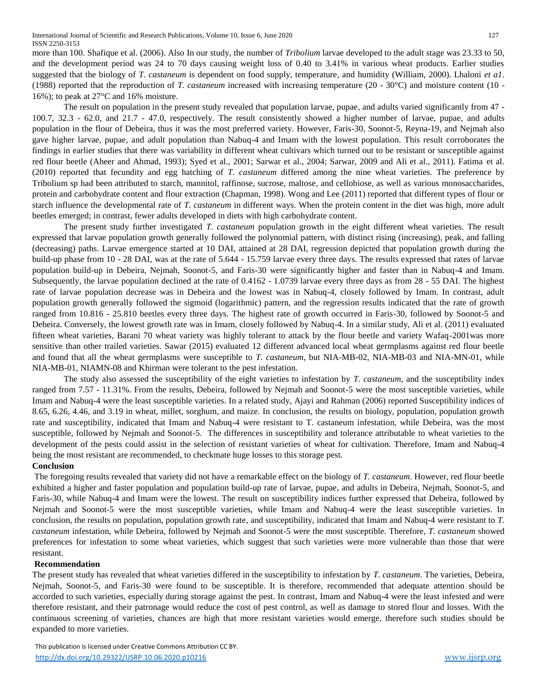more than 100. Shafique et al. (2006). Also In our study, the number of *Tribolium* larvae developed to the adult stage was 23.33 to 50, and the development period was 24 to 70 days causing weight loss of 0.40 to 3.41% in various wheat products. Earlier studies suggested that the biology of *T. castaneum* is dependent on food supply, temperature, and humidity (William, 2000). Lhaloni *et a1*. (1988) reported that the reproduction of *T. castaneum* increased with increasing temperature (20 - 30°C) and moisture content (10 - 16%); to peak at 27°C and 16% moisture.

The result on population in the present study revealed that population larvae, pupae, and adults varied significantly from 47 - 100.7, 32.3 - 62.0, and 21.7 - 47.0, respectively. The result consistently showed a higher number of larvae, pupae, and adults population in the flour of Debeira, thus it was the most preferred variety. However, Faris-30, Soonot-5, Reyna-19, and Nejmah also gave higher larvae, pupae, and adult population than Nabuq-4 and Imam with the lowest population. This result corroborates the findings in earlier studies that there was variability in different wheat cultivars which turned out to be resistant or susceptible against red flour beetle (Aheer and Ahmad, 1993); Syed et al., 2001; Sarwar et al., 2004; Sarwar, 2009 and Ali et al., 2011). Fatima et al. (2010) reported that fecundity and egg hatching of *T. castaneum* differed among the nine wheat varieties. The preference by Tribolium sp had been attributed to starch, mannitol, raffinose, sucrose, maltose, and cellobiose, as well as various monosaccharides, protein and carbohydrate content and flour extraction (Chapman, 1998). Wong and Lee (2011) reported that different types of flour or starch influence the developmental rate of *T. castaneum* in different ways. When the protein content in the diet was high, more adult beetles emerged; in contrast, fewer adults developed in diets with high carbohydrate content.

The present study further investigated *T. castaneum* population growth in the eight different wheat varieties. The result expressed that larvae population growth generally followed the polynomial pattern, with distinct rising (increasing), peak, and falling (decreasing) paths. Larvae emergence started at 10 DAI, attained at 28 DAI, regression depicted that population growth during the build-up phase from 10 - 28 DAI, was at the rate of 5.644 - 15.759 larvae every three days. The results expressed that rates of larvae population build-up in Debeira, Nejmah, Soonot-5, and Faris-30 were significantly higher and faster than in Nabuq-4 and Imam. Subsequently, the larvae population declined at the rate of 0.4162 - 1.0739 larvae every three days as from 28 - 55 DAI. The highest rate of larvae population decrease was in Debeira and the lowest was in Nabuq-4, closely followed by Imam. In contrast, adult population growth generally followed the sigmoid (logarithmic) pattern, and the regression results indicated that the rate of growth ranged from 10.816 - 25.810 beetles every three days. The highest rate of growth occurred in Faris-30, followed by Soonot-5 and Debeira. Conversely, the lowest growth rate was in Imam, closely followed by Nabuq-4. In a similar study, Ali et al. (2011) evaluated fifteen wheat varieties, Barani 70 wheat variety was highly tolerant to attack by the flour beetle and variety Wafaq-2001was more sensitive than other trailed varieties. Sawar (2015) evaluated 12 different advanced local wheat germplasms against red flour beetle and found that all the wheat germplasms were susceptible to *T. castaneum*, but NIA-MB-02, NIA-MB-03 and NIA-MN-01, while NIA-MB-01, NIAMN-08 and Khirman were tolerant to the pest infestation.

The study also assessed the susceptibility of the eight varieties to infestation by *T. castaneum,* and the susceptibility index ranged from 7.57 - 11.31%. From the results, Debeira, followed by Nejmah and Soonot-5 were the most susceptible varieties, while Imam and Nabuq-4 were the least susceptible varieties. In a related study, Ajayi and Rahman (2006) reported Susceptibility indices of 8.65, 6.26, 4.46, and 3.19 in wheat, millet, sorghum, and maize. In conclusion, the results on biology, population, population growth rate and susceptibility, indicated that Imam and Nabuq-4 were resistant to T. castaneum infestation, while Debeira, was the most susceptible, followed by Nejmah and Soonot-5. The differences in susceptibility and tolerance attributable to wheat varieties to the development of the pests could assist in the selection of resistant varieties of wheat for cultivation. Therefore, Imam and Nabuq-4 being the most resistant are recommended, to checkmate huge losses to this storage pest.

# **Conclusion**

The foregoing results revealed that variety did not have a remarkable effect on the biology of *T. castaneum*. However, red flour beetle exhibited a higher and faster population and population build-up rate of larvae, pupae, and adults in Debeira, Nejmah, Soonot-5, and Faris-30, while Nabuq-4 and Imam were the lowest. The result on susceptibility indices further expressed that Debeira, followed by Nejmah and Soonot-5 were the most susceptible varieties, while Imam and Nabuq-4 were the least susceptible varieties. In conclusion, the results on population, population growth rate, and susceptibility, indicated that Imam and Nabuq-4 were resistant to *T. castaneum* infestation, while Debeira, followed by Nejmah and Soonot-5 were the most susceptible. Therefore, *T. castaneum* showed preferences for infestation to some wheat varieties, which suggest that such varieties were more vulnerable than those that were resistant.

# **Recommendation**

The present study has revealed that wheat varieties differed in the susceptibility to infestation by *T. castaneum*. The varieties, Debeira, Nejmah, Soonot-5, and Faris-30 were found to be susceptible. It is therefore, recommended that adequate attention should be accorded to such varieties, especially during storage against the pest. In contrast, Imam and Nabuq-4 were the least infested and were therefore resistant, and their patronage would reduce the cost of pest control, as well as damage to stored flour and losses. With the continuous screening of varieties, chances are high that more resistant varieties would emerge, therefore such studies should be expanded to more varieties.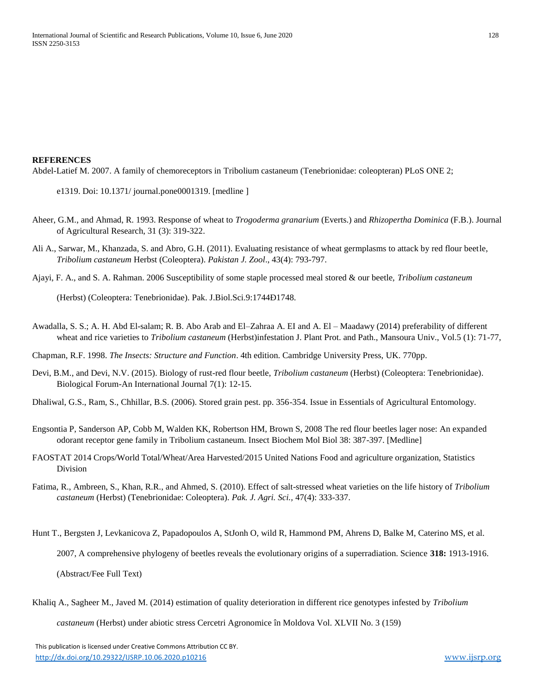#### **REFERENCES**

Abdel-Latief M. 2007. A family of chemoreceptors in Tribolium castaneum (Tenebrionidae: coleopteran) PLoS ONE 2;

- e1319. Doi: 10.1371/ journal.pone0001319. [medline ]
- Aheer, G.M., and Ahmad, R. 1993. Response of wheat to *Trogoderma granarium* (Everts.) and *Rhizopertha Dominica* (F.B.). Journal of Agricultural Research, 31 (3): 319-322.
- Ali A., Sarwar, M., Khanzada, S. and Abro, G.H. (2011). Evaluating resistance of wheat germplasms to attack by red flour beetle, *Tribolium castaneum* Herbst (Coleoptera). *Pakistan J. Zool*., 43(4): 793-797.
- Ajayi, F. A., and S. A. Rahman. 2006 Susceptibility of some staple processed meal stored & our beetle, *Tribolium castaneum*

(Herbst) (Coleoptera: Tenebrionidae). Pak. J.Biol.Sci.9:1744Ð1748.

Awadalla, S. S.; A. H. Abd El-salam; R. B. Abo Arab and El–Zahraa A. EI and A. El – Maadawy (2014) preferability of different wheat and rice varieties to *Tribolium castaneum* (Herbst)infestation J. Plant Prot. and Path., Mansoura Univ., Vol.5 (1): 71-77,

Chapman, R.F. 1998. *The Insects: Structure and Function*. 4th edition. Cambridge University Press, UK. 770pp.

Devi, B.M., and Devi, N.V. (2015). Biology of rust-red flour beetle, *Tribolium castaneum* (Herbst) (Coleoptera: Tenebrionidae). Biological Forum-An International Journal 7(1): 12-15.

Dhaliwal, G.S., Ram, S., Chhillar, B.S. (2006). Stored grain pest. pp. 356-354. Issue in Essentials of Agricultural Entomology.

- Engsontia P, Sanderson AP, Cobb M, Walden KK, Robertson HM, Brown S, 2008 The red flour beetles lager nose: An expanded odorant receptor gene family in Tribolium castaneum. Insect Biochem Mol Biol 38: 387-397. [Medline]
- FAOSTAT 2014 Crops/World Total/Wheat/Area Harvested/2015 United Nations Food and agriculture organization, Statistics Division
- Fatima, R., Ambreen, S., Khan, R.R., and Ahmed, S. (2010). Effect of salt-stressed wheat varieties on the life history of *Tribolium castaneum* (Herbst) (Tenebrionidae: Coleoptera). *Pak. J. Agri. Sci.,* 47(4): 333-337.
- Hunt T., Bergsten J, Levkanicova Z, Papadopoulos A, StJonh O, wild R, Hammond PM, Ahrens D, Balke M, Caterino MS, et al. 2007, A comprehensive phylogeny of beetles reveals the evolutionary origins of a superradiation. Science **318:** 1913-1916. (Abstract/Fee Full Text)
- Khaliq A., Sagheer M., Javed M. (2014) estimation of quality deterioration in different rice genotypes infested by *Tribolium*

*castaneum* (Herbst) under abiotic stress Cercetri Agronomice în Moldova Vol. XLVII No. 3 (159)